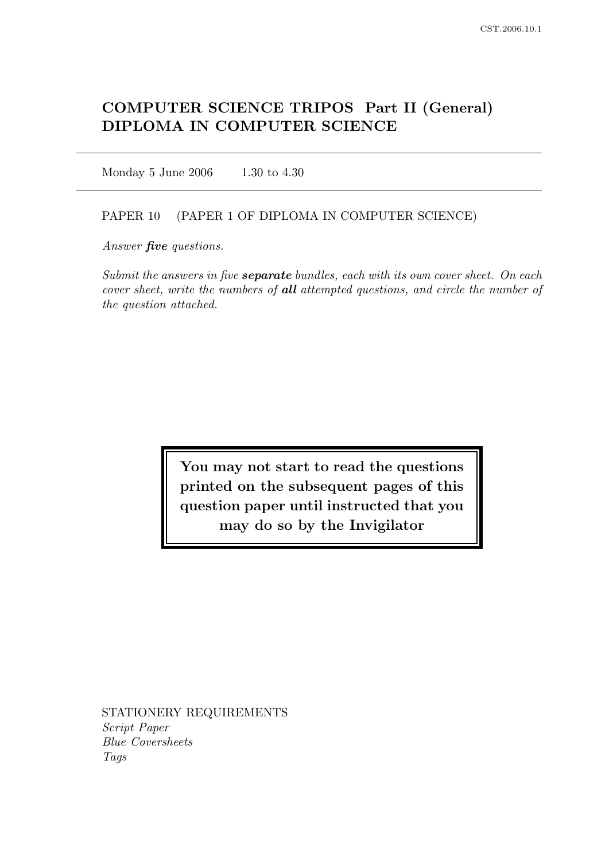# COMPUTER SCIENCE TRIPOS Part II (General) DIPLOMA IN COMPUTER SCIENCE

Monday 5 June 2006 1.30 to 4.30

### PAPER 10 (PAPER 1 OF DIPLOMA IN COMPUTER SCIENCE)

Answer *five* questions.

Submit the answers in five **separate** bundles, each with its own cover sheet. On each cover sheet, write the numbers of all attempted questions, and circle the number of the question attached.

> You may not start to read the questions printed on the subsequent pages of this question paper until instructed that you may do so by the Invigilator

STATIONERY REQUIREMENTS Script Paper Blue Coversheets Tags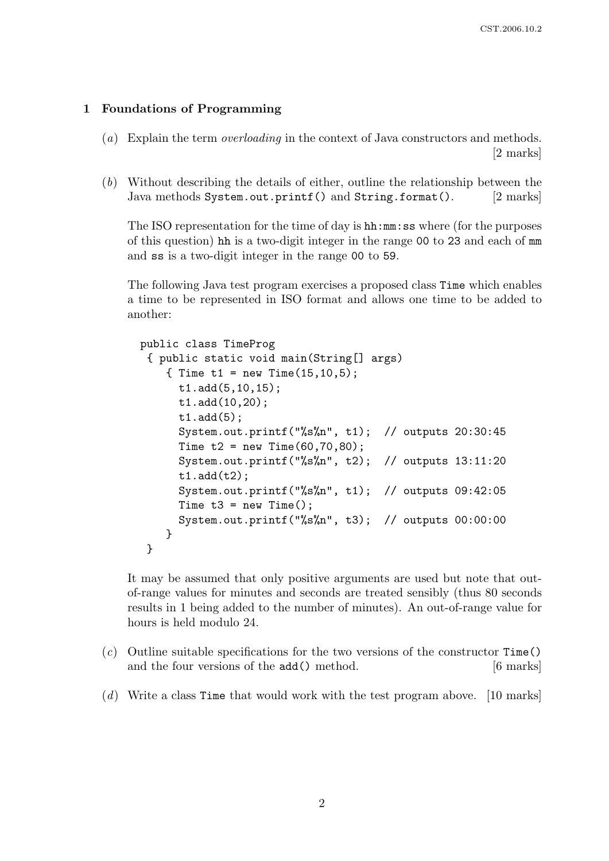## 1 Foundations of Programming

- (a) Explain the term *overloading* in the context of Java constructors and methods. [2 marks]
- (b) Without describing the details of either, outline the relationship between the Java methods System.out.printf() and String.format(). [2 marks]

The ISO representation for the time of day is hh:mm:ss where (for the purposes of this question) hh is a two-digit integer in the range 00 to 23 and each of mm and ss is a two-digit integer in the range 00 to 59.

The following Java test program exercises a proposed class Time which enables a time to be represented in ISO format and allows one time to be added to another:

```
public class TimeProg
 { public static void main(String[] args)
    { Time t1 = new Time(15, 10, 5);
      t1.add(5,10,15);
      t1.add(10,20);
      t1.add(5);
      System.out.printf("%s%n", t1); // outputs 20:30:45
      Time t2 = new Time(60, 70, 80);
      System.out.printf("%s%n", t2); // outputs 13:11:20
      t1.add(t2);System.out.printf("%s%n", t1); // outputs 09:42:05
      Time t3 = new Time();
      System.out.printf("%s%n", t3); // outputs 00:00:00
    }
}
```
It may be assumed that only positive arguments are used but note that outof-range values for minutes and seconds are treated sensibly (thus 80 seconds results in 1 being added to the number of minutes). An out-of-range value for hours is held modulo 24.

- $(c)$  Outline suitable specifications for the two versions of the constructor Time() and the four versions of the add() method. [6 marks]
- (d) Write a class Time that would work with the test program above.  $\vert 10 \text{ marks} \vert$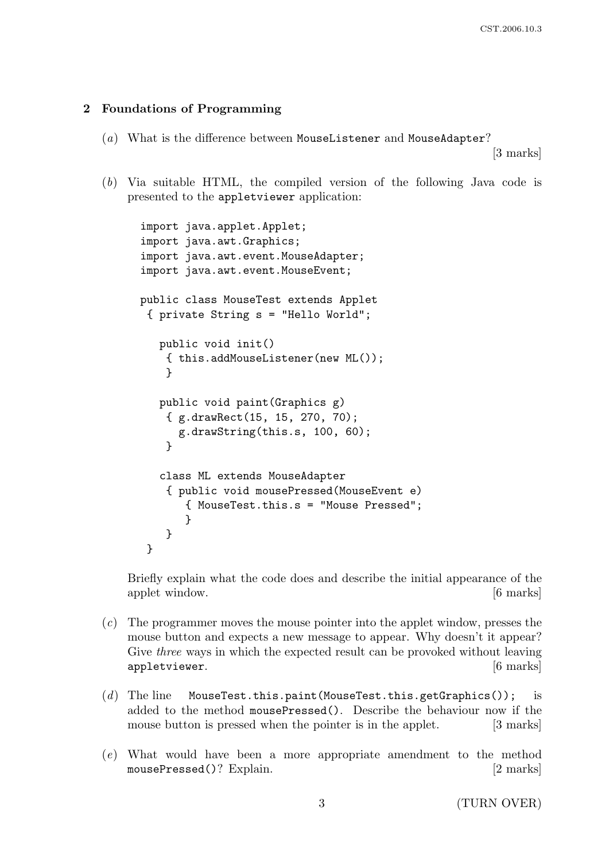## 2 Foundations of Programming

(a) What is the difference between MouseListener and MouseAdapter?

[3 marks]

(b) Via suitable HTML, the compiled version of the following Java code is presented to the appletviewer application:

```
import java.applet.Applet;
import java.awt.Graphics;
import java.awt.event.MouseAdapter;
import java.awt.event.MouseEvent;
public class MouseTest extends Applet
{ private String s = "Hello World";
   public void init()
    { this.addMouseListener(new ML());
    }
  public void paint(Graphics g)
    { g.drawRect(15, 15, 270, 70);
      g.drawString(this.s, 100, 60);
    }
   class ML extends MouseAdapter
    { public void mousePressed(MouseEvent e)
       { MouseTest.this.s = "Mouse Pressed";
       }
    }
}
```
Briefly explain what the code does and describe the initial appearance of the applet window. [6 marks]

- (c) The programmer moves the mouse pointer into the applet window, presses the mouse button and expects a new message to appear. Why doesn't it appear? Give *three* ways in which the expected result can be provoked without leaving appletviewer. [6 marks]
- $(d)$  The line MouseTest.this.paint(MouseTest.this.getGraphics()); is added to the method mousePressed(). Describe the behaviour now if the mouse button is pressed when the pointer is in the applet. [3 marks]
- (e) What would have been a more appropriate amendment to the method mousePressed()? Explain. [2 marks]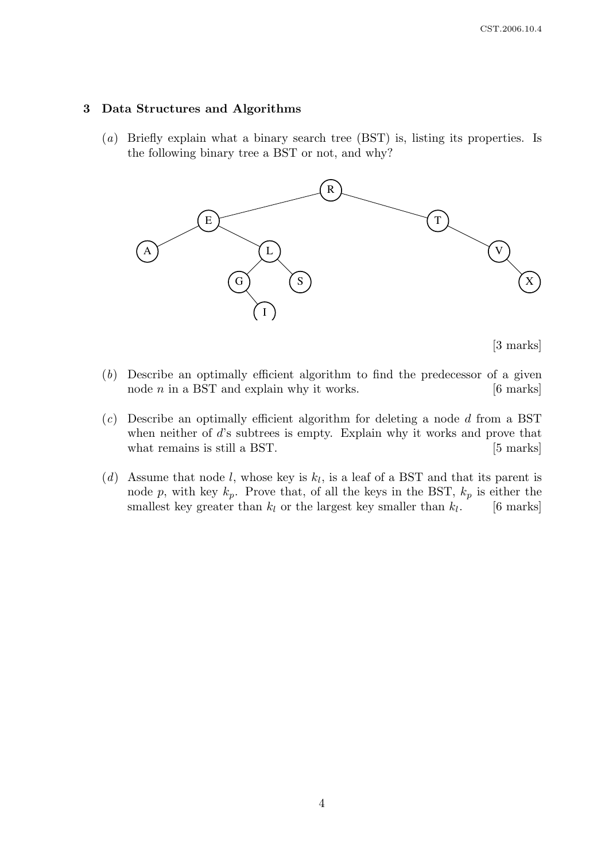### 3 Data Structures and Algorithms

(a) Briefly explain what a binary search tree (BST) is, listing its properties. Is the following binary tree a BST or not, and why?



[3 marks]

- (b) Describe an optimally efficient algorithm to find the predecessor of a given node  $n$  in a BST and explain why it works.  $[6 \text{ marks}]$
- $(c)$  Describe an optimally efficient algorithm for deleting a node d from a BST when neither of d's subtrees is empty. Explain why it works and prove that what remains is still a BST. [5 marks]
- (d) Assume that node l, whose key is  $k_l$ , is a leaf of a BST and that its parent is node p, with key  $k_p$ . Prove that, of all the keys in the BST,  $k_p$  is either the smallest key greater than  $k_l$  or the largest key smaller than  $k_l$ . [6 marks]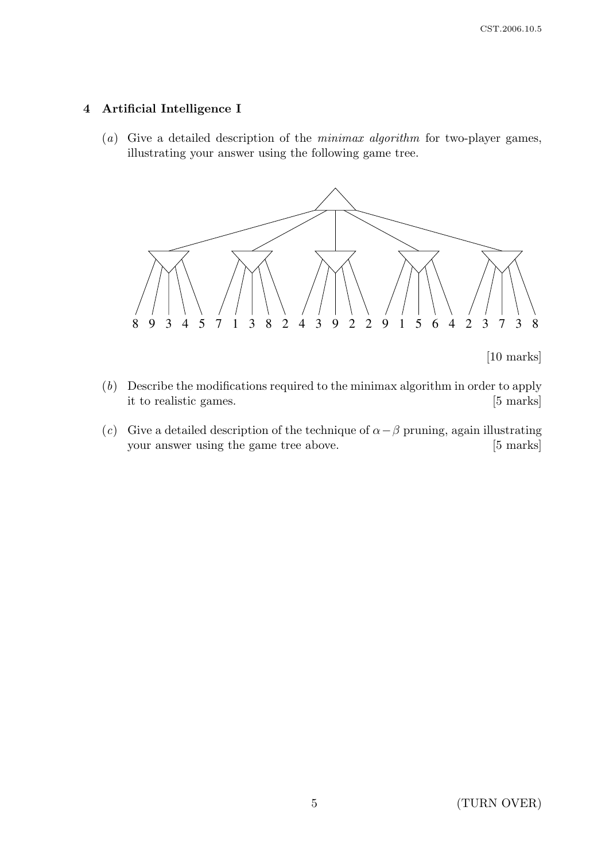## 4 Artificial Intelligence I

(a) Give a detailed description of the minimax algorithm for two-player games, illustrating your answer using the following game tree.



[10 marks]

- (b) Describe the modifications required to the minimax algorithm in order to apply it to realistic games. [5 marks]
- (c) Give a detailed description of the technique of  $\alpha \beta$  pruning, again illustrating your answer using the game tree above. [5 marks]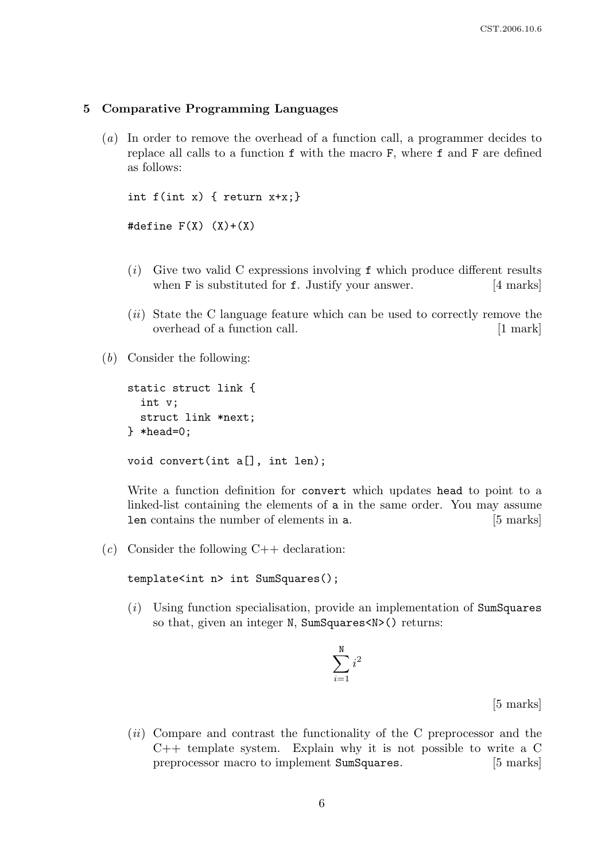### 5 Comparative Programming Languages

(a) In order to remove the overhead of a function call, a programmer decides to replace all calls to a function f with the macro F, where f and F are defined as follows:

```
int f(int x) { return x+x; }#define F(X) (X)+(X)
```
- $(i)$  Give two valid C expressions involving f which produce different results when **F** is substituted for **f**. Justify your answer. [4 marks]
- (*ii*) State the C language feature which can be used to correctly remove the overhead of a function call. [1 mark]
- (b) Consider the following:

```
static struct link {
  int v;
  struct link *next;
} *head=0;
void convert(int a[], int len);
```
Write a function definition for convert which updates head to point to a linked-list containing the elements of a in the same order. You may assume len contains the number of elements in a. [5 marks]

(c) Consider the following  $C++$  declaration:

```
template<int n> int SumSquares();
```
(i) Using function specialisation, provide an implementation of SumSquares so that, given an integer N, SumSquares<N>() returns:

$$
\sum_{i=1}^{\texttt{N}} i^2
$$

[5 marks]

 $(ii)$  Compare and contrast the functionality of the C preprocessor and the  $C++$  template system. Explain why it is not possible to write a  $C$ preprocessor macro to implement SumSquares. [5 marks]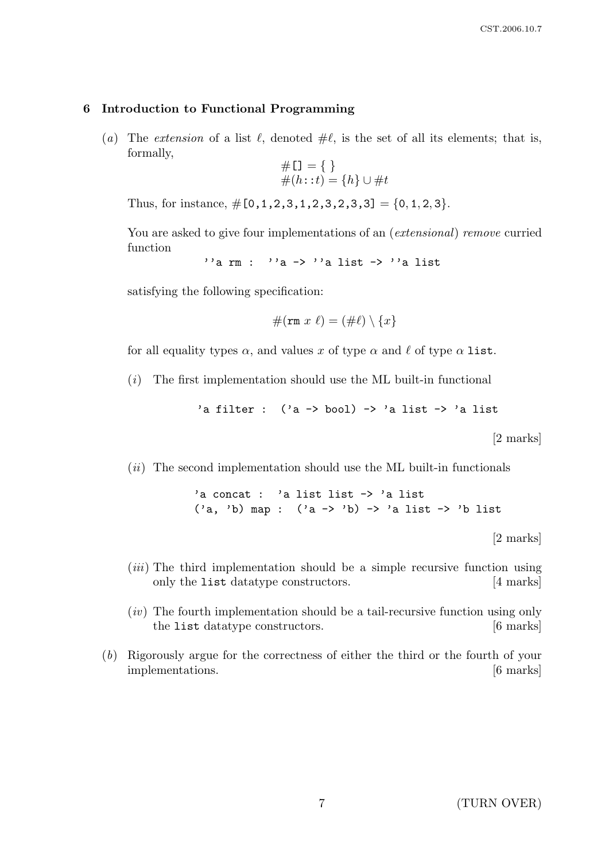### 6 Introduction to Functional Programming

(a) The extension of a list  $\ell$ , denoted  $\#\ell$ , is the set of all its elements; that is, formally,

$$
\begin{aligned} \# \mathfrak{U} &= \{ \ \} \\ \#(h: : t) &= \{ h \} \cup \# t \end{aligned}
$$

Thus, for instance,  $\#[0,1,2,3,1,2,3,2,3,3] = \{0,1,2,3\}.$ 

You are asked to give four implementations of an (*extensional*) remove curried function

 $''a$  rm :  $''a \rightarrow ''a$  list  $\rightarrow ''a$  list

satisfying the following specification:

$$
\#(\mathtt{rm}\;x\;\ell)=(\#\ell)\setminus\{x\}
$$

for all equality types  $\alpha$ , and values x of type  $\alpha$  and  $\ell$  of type  $\alpha$  list.

 $(i)$  The first implementation should use the ML built-in functional

'a filter :  $('a \rightarrow bool) \rightarrow 'a$  list  $\rightarrow 'a$  list

[2 marks]

 $(ii)$  The second implementation should use the ML built-in functionals

'a concat : 'a list list -> 'a list  $('a, 'b)$  map :  $('a -> 'b) -> 'a$  list  $-> 'b$  list

[2 marks]

- $(iii)$  The third implementation should be a simple recursive function using only the list datatype constructors. [4 marks]
- $(iv)$  The fourth implementation should be a tail-recursive function using only the list datatype constructors. [6 marks]
- (b) Rigorously argue for the correctness of either the third or the fourth of your implementations. [6 marks]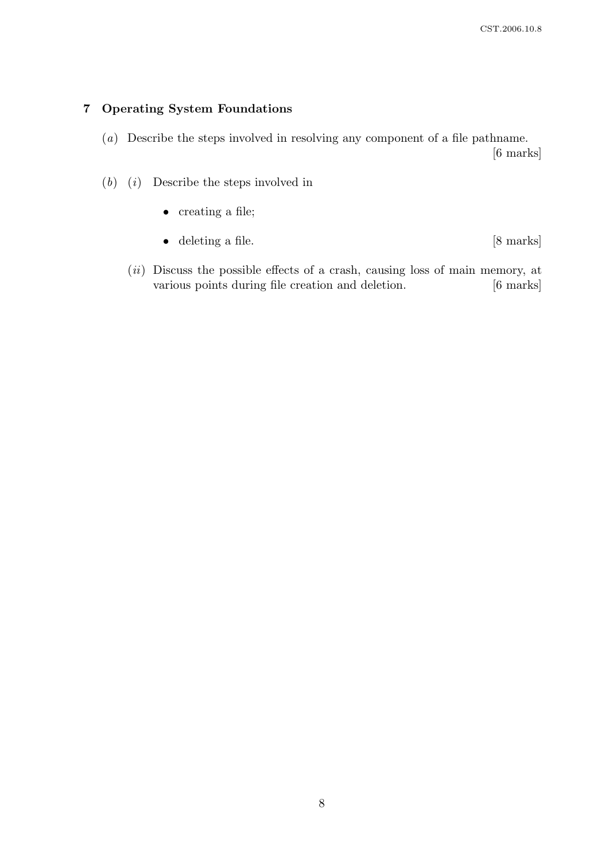## 7 Operating System Foundations

- (a) Describe the steps involved in resolving any component of a file pathname.
	- [6 marks]

- $(b)$  (*i*) Describe the steps involved in
	- creating a file;
	- deleting a file. [8 marks]
	- $(ii)$  Discuss the possible effects of a crash, causing loss of main memory, at various points during file creation and deletion. [6 marks]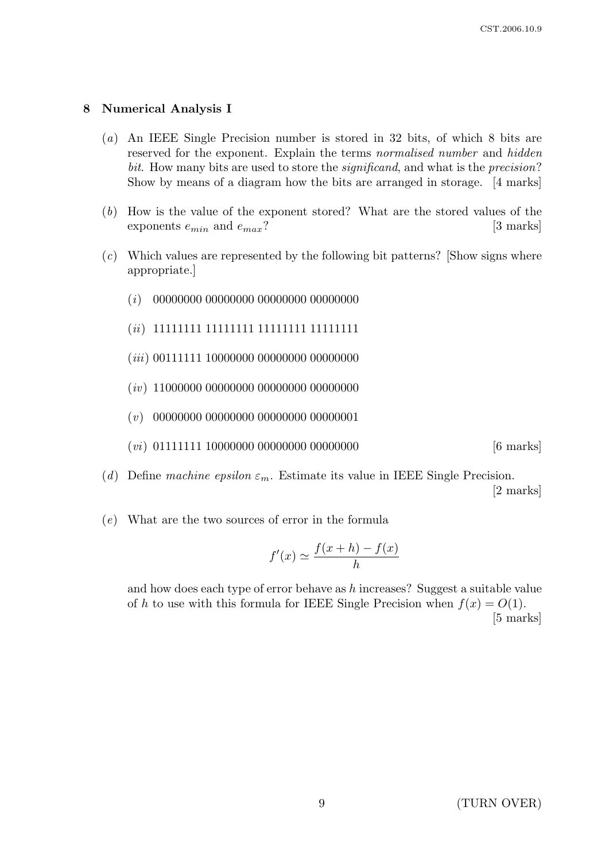## 8 Numerical Analysis I

- (a) An IEEE Single Precision number is stored in 32 bits, of which 8 bits are reserved for the exponent. Explain the terms normalised number and hidden bit. How many bits are used to store the *significand*, and what is the *precision*? Show by means of a diagram how the bits are arranged in storage. [4 marks]
- (b) How is the value of the exponent stored? What are the stored values of the exponents  $e_{min}$  and  $e_{max}$ ? [3 marks]
- (c) Which values are represented by the following bit patterns? [Show signs where appropriate.]
	- (i) 00000000 00000000 00000000 00000000
	- (ii) 11111111 11111111 11111111 11111111
	- (*iii*) 00111111 10000000 00000000 00000000
	- (*iv*) 11000000 00000000 00000000 00000000
	- (v) 00000000 00000000 00000000 00000001
	- $(vi)$  01111111 10000000 00000000 000000000 [6 marks]
- (d) Define machine epsilon  $\varepsilon_m$ . Estimate its value in IEEE Single Precision.

[2 marks]

(e) What are the two sources of error in the formula

$$
f'(x) \simeq \frac{f(x+h) - f(x)}{h}
$$

and how does each type of error behave as h increases? Suggest a suitable value of h to use with this formula for IEEE Single Precision when  $f(x) = O(1)$ . [5 marks]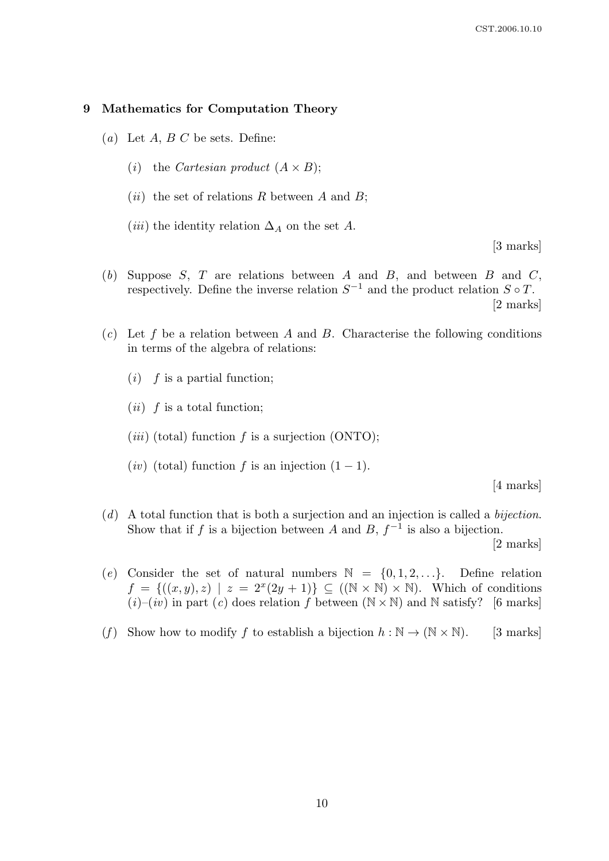#### 9 Mathematics for Computation Theory

- (a) Let  $A, B, C$  be sets. Define:
	- (*i*) the *Cartesian product*  $(A \times B)$ ;
	- (*ii*) the set of relations R between A and B;
	- (*iii*) the identity relation  $\Delta_A$  on the set A.

[3 marks]

- (b) Suppose  $S$ ,  $T$  are relations between  $A$  and  $B$ , and between  $B$  and  $C$ , respectively. Define the inverse relation  $S^{-1}$  and the product relation  $S \circ T$ . [2 marks]
- $(c)$  Let f be a relation between A and B. Characterise the following conditions in terms of the algebra of relations:
	- $(i)$  f is a partial function;
	- $(ii)$  f is a total function;
	- (*iii*) (total) function f is a surjection (ONTO);
	- (iv) (total) function f is an injection  $(1 1)$ .

[4 marks]

 $(d)$  A total function that is both a surjection and an injection is called a *bijection*. Show that if f is a bijection between A and B,  $f^{-1}$  is also a bijection.

[2 marks]

- (e) Consider the set of natural numbers  $\mathbb{N} = \{0, 1, 2, \ldots\}$ . Define relation  $f = \{((x, y), z) \mid z = 2^x(2y + 1)\} \subseteq ((\mathbb{N} \times \mathbb{N}) \times \mathbb{N})$ . Which of conditions  $(i)$ – $(iv)$  in part  $(c)$  does relation f between  $(N \times N)$  and N satisfy? [6 marks]
- (f) Show how to modify f to establish a bijection  $h : \mathbb{N} \to (\mathbb{N} \times \mathbb{N})$ . [3 marks]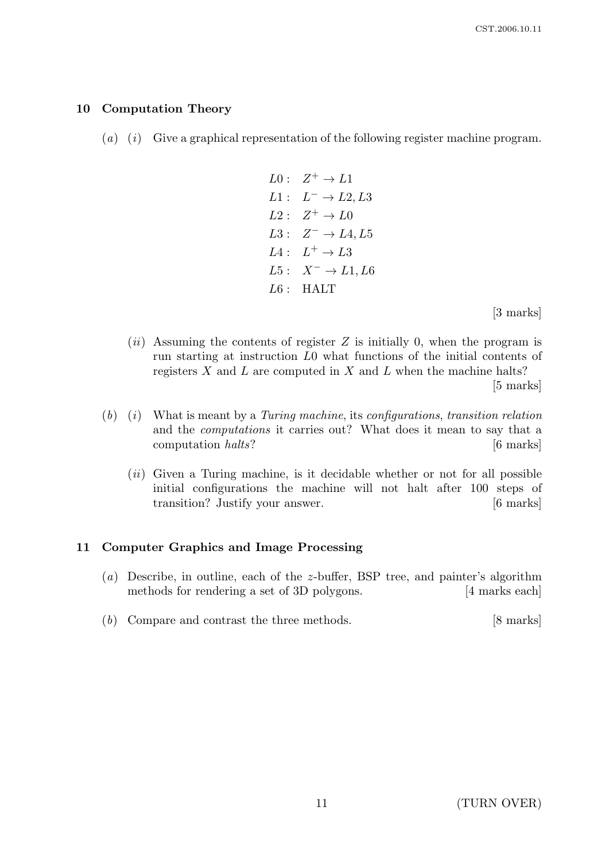## 10 Computation Theory

- $(a)$  (i) Give a graphical representation of the following register machine program.
	- $L0: Z^+ \to L1$  $L1: L^- \rightarrow L2, L3$  $L2: Z^+ \to L0$  $L3: Z^- \rightarrow L4, L5$  $L4: L^+ \rightarrow L3$  $L5: X^- \rightarrow L1, L6$  $L6$ : HALT

[3 marks]

 $(ii)$  Assuming the contents of register Z is initially 0, when the program is run starting at instruction L0 what functions of the initial contents of registers  $X$  and  $L$  are computed in  $X$  and  $L$  when the machine halts?

[5 marks]

- $(b)$   $(i)$  What is meant by a Turing machine, its configurations, transition relation and the computations it carries out? What does it mean to say that a computation halts? [6 marks]
	- $(ii)$  Given a Turing machine, is it decidable whether or not for all possible initial configurations the machine will not halt after 100 steps of transition? Justify your answer. [6 marks]

## 11 Computer Graphics and Image Processing

- (a) Describe, in outline, each of the z-buffer, BSP tree, and painter's algorithm methods for rendering a set of 3D polygons. [4 marks each]
- (b) Compare and contrast the three methods. [8 marks]